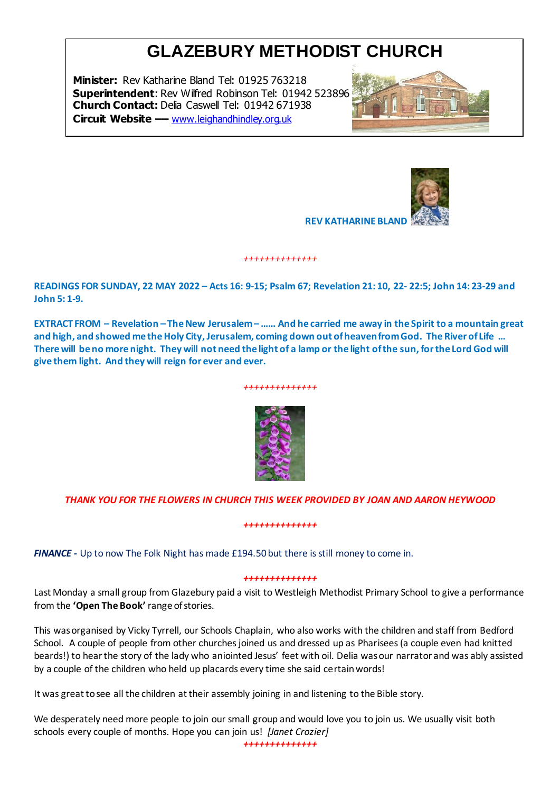# **GLAZEBURY METHODIST CHURCH**

**Minister:** Rev Katharine Bland Tel: 01925 763218 **Superintendent**: Rev Wilfred Robinson Tel: 01942 523896 **Church Contact:** Delia Caswell Tel: 01942 671938 **Circuit Website ––** [www.leighandhindley.org.uk](http://www.leighandhindley.org.uk/)





**REV KATHARINE BLAND** 

**READINGS FOR SUNDAY, 22 MAY 2022 – Acts 16: 9-15; Psalm 67; Revelation 21: 10, 22- 22:5; John 14: 23-29 and John 5: 1-9.**

*++++++++++++++*

**EXTRACT FROM – Revelation – The New Jerusalem – …… And he carried me away in the Spirit to a mountain great and high, and showed me the Holy City, Jerusalem, coming down out of heaven from God. The River of Life … There will be no more night. They will not need the light of a lamp or the light of the sun, for the Lord God will give them light. And they will reign for ever and ever.**

## *++++++++++++++*



## *THANK YOU FOR THE FLOWERS IN CHURCH THIS WEEK PROVIDED BY JOAN AND AARON HEYWOOD*

## *++++++++++++++*

*FINANCE -* Up to now The Folk Night has made £194.50 but there is still money to come in.

#### *++++++++++++++*

Last Monday a small group from Glazebury paid a visit to Westleigh Methodist Primary School to give a performance from the **'Open The Book'** range of stories.

This was organised by Vicky Tyrrell, our Schools Chaplain, who also works with the children and staff from Bedford School. A couple of people from other churches joined us and dressed up as Pharisees (a couple even had knitted beards!) to hear the story of the lady who aniointed Jesus' feet with oil. Delia was our narrator and was ably assisted by a couple of the children who held up placards every time she said certain words!

It was great to see all the children at their assembly joining in and listening to the Bible story.

We desperately need more people to join our small group and would love you to join us. We usually visit both schools every couple of months. Hope you can join us! *[Janet Crozier]*

*++++++++++++++*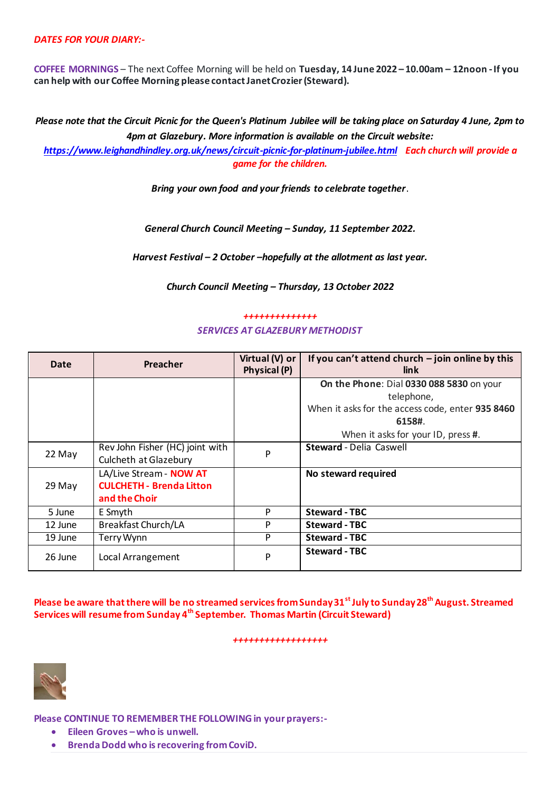## *DATES FOR YOUR DIARY:-*

**COFFEE MORNINGS** – The next Coffee Morning will be held on **Tuesday, 14 June 2022 – 10.00am – 12noon -If you can help with our Coffee Morning please contact Janet Crozier (Steward).**

*Please note that the Circuit Picnic for the Queen's Platinum Jubilee will be taking place on Saturday 4 June, 2pm to 4pm at Glazebury. More information is available on the Circuit website:* 

*<https://www.leighandhindley.org.uk/news/circuit-picnic-for-platinum-jubilee.html> Each church will provide a game for the children.*

*Bring your own food and your friends to celebrate together*.

*General Church Council Meeting – Sunday, 11 September 2022.*

*Harvest Festival – 2 October –hopefully at the allotment as last year.*

*Church Council Meeting – Thursday, 13 October 2022*

## *++++++++++++++ SERVICES AT GLAZEBURY METHODIST*

| Date    | Preacher                        | Virtual (V) or<br>Physical (P) | If you can't attend church $-$ join online by this<br>link. |
|---------|---------------------------------|--------------------------------|-------------------------------------------------------------|
|         |                                 |                                | On the Phone: Dial 0330 088 5830 on your                    |
|         |                                 |                                | telephone,                                                  |
|         |                                 |                                | When it asks for the access code, enter 935 8460            |
|         |                                 |                                | 6158#.                                                      |
|         |                                 |                                | When it asks for your ID, press #.                          |
| 22 May  | Rev John Fisher (HC) joint with | P                              | <b>Steward</b> - Delia Caswell                              |
|         | Culcheth at Glazebury           |                                |                                                             |
|         | LA/Live Stream - NOW AT         |                                | No steward required                                         |
| 29 May  | <b>CULCHETH - Brenda Litton</b> |                                |                                                             |
|         | and the Choir                   |                                |                                                             |
| 5 June  | E Smyth                         | P                              | <b>Steward - TBC</b>                                        |
| 12 June | <b>Breakfast Church/LA</b>      | P                              | <b>Steward - TBC</b>                                        |
| 19 June | Terry Wynn                      | P                              | <b>Steward - TBC</b>                                        |
| 26 June | Local Arrangement               | P                              | <b>Steward - TBC</b>                                        |

**Please be aware that there will be no streamed services from Sunday 31st July to Sunday 28th August. Streamed Services will resume from Sunday 4th September. Thomas Martin (Circuit Steward)**

#### *++++++++++++++++++*



**Please CONTINUE TO REMEMBER THE FOLLOWING in your prayers:-**

- **Eileen Groves –who is unwell.**
- **•** Brenda Dodd who is recovering from CoviD.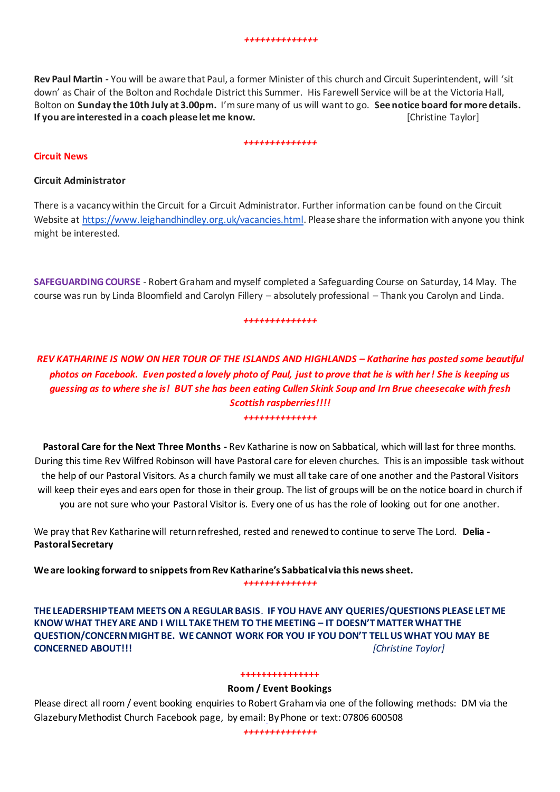**Rev Paul Martin -** You will be aware that Paul, a former Minister of this church and Circuit Superintendent, will 'sit down' as Chair of the Bolton and Rochdale District this Summer. His Farewell Service will be at the Victoria Hall, Bolton on **Sunday the 10th July at 3.00pm.** I'm sure many of us will want to go. **See notice board for more details. If you are interested in a coach please let me know. Christian Example 2018** [Christine Taylor]

#### *++++++++++++++*

## **Circuit News**

## **Circuit Administrator**

There is a vacancy within the Circuit for a Circuit Administrator. Further information can be found on the Circuit Website at [https://www.leighandhindley.org.uk/vacancies.html.](https://www.leighandhindley.org.uk/vacancies.html) Please share the information with anyone you think might be interested.

**SAFEGUARDING COURSE** - Robert Graham and myself completed a Safeguarding Course on Saturday, 14 May. The course was run by Linda Bloomfield and Carolyn Fillery – absolutely professional – Thank you Carolyn and Linda.

#### *++++++++++++++*

# *REV KATHARINE IS NOW ON HER TOUR OF THE ISLANDS AND HIGHLANDS – Katharine has posted some beautiful photos on Facebook. Even posted a lovely photo of Paul, just to prove that he is with her! She is keeping us guessing as to where she is! BUT she has been eating Cullen Skink Soup and Irn Brue cheesecake with fresh Scottish raspberries!!!! ++++++++++++++*

**Pastoral Care for the Next Three Months -** Rev Katharine is now on Sabbatical, which will last for three months. During this time Rev Wilfred Robinson will have Pastoral care for eleven churches. This is an impossible task without the help of our Pastoral Visitors. As a church family we must all take care of one another and the Pastoral Visitors will keep their eyes and ears open for those in their group. The list of groups will be on the notice board in church if you are not sure who your Pastoral Visitor is. Every one of us has the role of looking out for one another.

We pray that Rev Katharine will return refreshed, rested and renewed to continue to serve The Lord. **Delia - Pastoral Secretary**

**We are looking forward to snippets from Rev Katharine's Sabbatical via this news sheet.**

*++++++++++++++*

**THE LEADERSHIP TEAM MEETS ON A REGULAR BASIS**. **IF YOU HAVE ANY QUERIES/QUESTIONS PLEASE LET ME KNOW WHAT THEY ARE AND I WILL TAKE THEM TO THE MEETING – IT DOESN'T MATTER WHAT THE QUESTION/CONCERN MIGHT BE. WE CANNOT WORK FOR YOU IF YOU DON'T TELL US WHAT YOU MAY BE CONCERNED ABOUT!!!** *[Christine Taylor]*

## **+++++++++++++++**

## **Room / Event Bookings**

Please direct all room / event booking enquiries to Robert Graham via one of the following methods: DM via the Glazebury Methodist Church Facebook page, by email: By Phone or text: 07806 600508

*++++++++++++++*